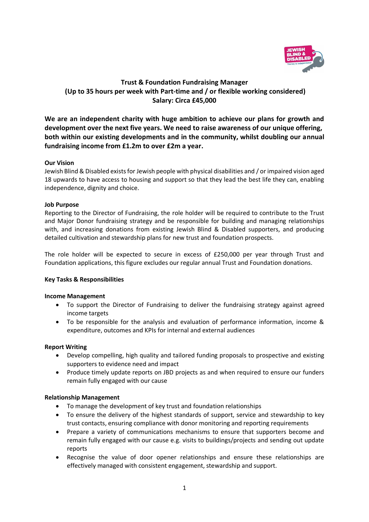

# **Trust & Foundation Fundraising Manager (Up to 35 hours per week with Part-time and / or flexible working considered) Salary: Circa £45,000**

**We are an independent charity with huge ambition to achieve our plans for growth and development over the next five years. We need to raise awareness of our unique offering, both within our existing developments and in the community, whilst doubling our annual fundraising income from £1.2m to over £2m a year.** 

### **Our Vision**

Jewish Blind & Disabled exists for Jewish people with physical disabilities and / or impaired vision aged 18 upwards to have access to housing and support so that they lead the best life they can, enabling independence, dignity and choice.

#### **Job Purpose**

Reporting to the Director of Fundraising, the role holder will be required to contribute to the Trust and Major Donor fundraising strategy and be responsible for building and managing relationships with, and increasing donations from existing Jewish Blind & Disabled supporters, and producing detailed cultivation and stewardship plans for new trust and foundation prospects.

The role holder will be expected to secure in excess of £250,000 per year through Trust and Foundation applications, this figure excludes our regular annual Trust and Foundation donations.

#### **Key Tasks & Responsibilities**

#### **Income Management**

- To support the Director of Fundraising to deliver the fundraising strategy against agreed income targets
- To be responsible for the analysis and evaluation of performance information, income & expenditure, outcomes and KPIs for internal and external audiences

#### **Report Writing**

- Develop compelling, high quality and tailored funding proposals to prospective and existing supporters to evidence need and impact
- Produce timely update reports on JBD projects as and when required to ensure our funders remain fully engaged with our cause

#### **Relationship Management**

- To manage the development of key trust and foundation relationships
- To ensure the delivery of the highest standards of support, service and stewardship to key trust contacts, ensuring compliance with donor monitoring and reporting requirements
- Prepare a variety of communications mechanisms to ensure that supporters become and remain fully engaged with our cause e.g. visits to buildings/projects and sending out update reports
- Recognise the value of door opener relationships and ensure these relationships are effectively managed with consistent engagement, stewardship and support.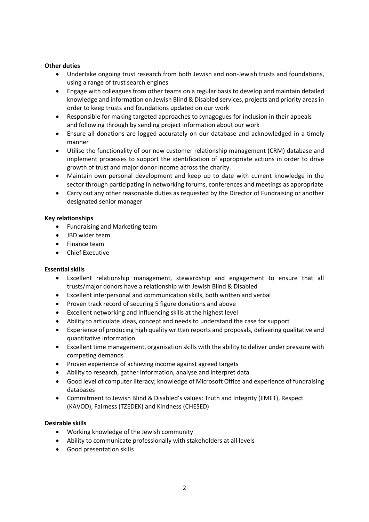### **Other duties**

- Undertake ongoing trust research from both Jewish and non-Jewish trusts and foundations, using a range of trust search engines
- Engage with colleagues from other teams on a regular basis to develop and maintain detailed knowledge and information on Jewish Blind & Disabled services, projects and priority areas in order to keep trusts and foundations updated on our work
- Responsible for making targeted approaches to synagogues for inclusion in their appeals and following through by sending project information about our work
- Ensure all donations are logged accurately on our database and acknowledged in a timely manner
- Utilise the functionality of our new customer relationship management (CRM) database and implement processes to support the identification of appropriate actions in order to drive growth of trust and major donor income across the charity.
- Maintain own personal development and keep up to date with current knowledge in the sector through participating in networking forums, conferences and meetings as appropriate
- Carry out any other reasonable duties as requested by the Director of Fundraising or another designated senior manager

#### **Key relationships**

- Fundraising and Marketing team
- JBD wider team
- Finance team
- Chief Executive

## **Essential skills**

- Excellent relationship management, stewardship and engagement to ensure that all trusts/major donors have a relationship with Jewish Blind & Disabled
- Excellent interpersonal and communication skills, both written and verbal
- Proven track record of securing 5 figure donations and above
- Excellent networking and influencing skills at the highest level
- Ability to articulate ideas, concept and needs to understand the case for support
- Experience of producing high quality written reports and proposals, delivering qualitative and quantitative information
- Excellent time management, organisation skills with the ability to deliver under pressure with competing demands
- Proven experience of achieving income against agreed targets
- Ability to research, gather information, analyse and interpret data
- Good level of computer literacy; knowledge of Microsoft Office and experience of fundraising databases
- Commitment to Jewish Blind & Disabled's values: Truth and Integrity (EMET), Respect (KAVOD), Fairness (TZEDEK) and Kindness (CHESED)

#### **Desirable skills**

- Working knowledge of the Jewish community
- Ability to communicate professionally with stakeholders at all levels
- Good presentation skills